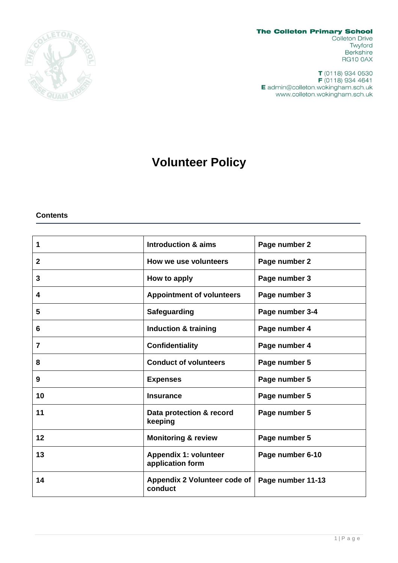

**The Colleton Primary School** 

Colleton Drive Twyford Berkshire **RG10 0AX** 

T (0118) 934 0530 F (0118) 934 4641 E admin@colleton.wokingham.sch.uk www.colleton.wokingham.sch.uk

# **Volunteer Policy**

**Contents**

| 1            | Introduction & aims                              | Page number 2     |
|--------------|--------------------------------------------------|-------------------|
| $\mathbf{2}$ | How we use volunteers                            | Page number 2     |
| 3            | How to apply                                     | Page number 3     |
| 4            | <b>Appointment of volunteers</b>                 | Page number 3     |
| 5            | <b>Safeguarding</b>                              | Page number 3-4   |
| 6            | <b>Induction &amp; training</b>                  | Page number 4     |
| 7            | <b>Confidentiality</b>                           | Page number 4     |
| 8            | <b>Conduct of volunteers</b>                     | Page number 5     |
| 9            | <b>Expenses</b>                                  | Page number 5     |
| 10           | <b>Insurance</b>                                 | Page number 5     |
| 11           | Data protection & record<br>keeping              | Page number 5     |
| 12           | <b>Monitoring &amp; review</b>                   | Page number 5     |
| 13           | <b>Appendix 1: volunteer</b><br>application form | Page number 6-10  |
| 14           | Appendix 2 Volunteer code of<br>conduct          | Page number 11-13 |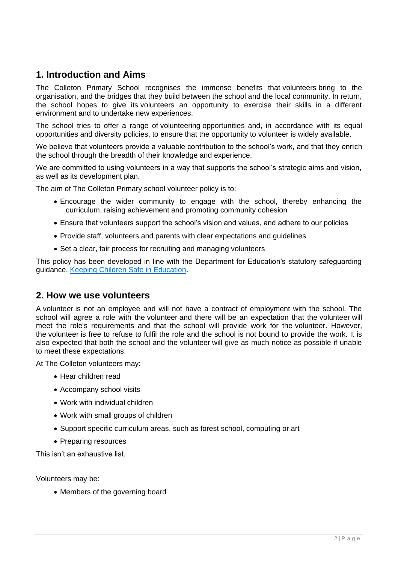### **1. Introduction and Aims**

The Colleton Primary School recognises the immense benefits that volunteers bring to the organisation, and the bridges that they build between the school and the local community. In return, the school hopes to give its volunteers an opportunity to exercise their skills in a different environment and to undertake new experiences.

The school tries to offer a range of volunteering opportunities and, in accordance with its equal opportunities and diversity policies, to ensure that the opportunity to volunteer is widely available.

We believe that volunteers provide a valuable contribution to the school's work, and that they enrich the school through the breadth of their knowledge and experience.

We are committed to using volunteers in a way that supports the school's strategic aims and vision, as well as its development plan.

The aim of The Colleton Primary school volunteer policy is to:

- Encourage the wider community to engage with the school, thereby enhancing the curriculum, raising achievement and promoting community cohesion
- Ensure that volunteers support the school's vision and values, and adhere to our policies
- Provide staff, volunteers and parents with clear expectations and guidelines
- Set a clear, fair process for recruiting and managing volunteers

This policy has been developed in line with the Department for Education's statutory safeguarding guidance, [Keeping Children Safe in Education.](https://www.gov.uk/government/publications/keeping-children-safe-in-education--2)

### **2. How we use volunteers**

A volunteer is not an employee and will not have a contract of employment with the school. The school will agree a role with the volunteer and there will be an expectation that the volunteer will meet the role's requirements and that the school will provide work for the volunteer. However, the volunteer is free to refuse to fulfil the role and the school is not bound to provide the work. It is also expected that both the school and the volunteer will give as much notice as possible if unable to meet these expectations.

At The Colleton volunteers may:

- Hear children read
- Accompany school visits
- Work with individual children
- Work with small groups of children
- Support specific curriculum areas, such as forest school, computing or art
- Preparing resources

This isn't an exhaustive list.

Volunteers may be:

• Members of the governing board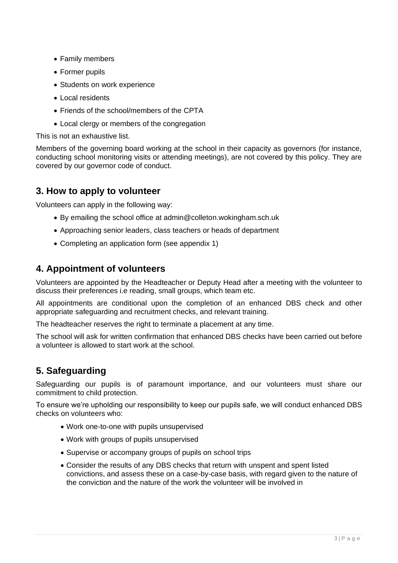- Family members
- Former pupils
- Students on work experience
- Local residents
- Friends of the school/members of the CPTA
- Local clergy or members of the congregation

This is not an exhaustive list.

Members of the governing board working at the school in their capacity as governors (for instance, conducting school monitoring visits or attending meetings), are not covered by this policy. They are covered by our governor code of conduct.

### **3. How to apply to volunteer**

Volunteers can apply in the following way:

- By emailing the school office at admin@colleton.wokingham.sch.uk
- Approaching senior leaders, class teachers or heads of department
- Completing an application form (see appendix 1)

# **4. Appointment of volunteers**

Volunteers are appointed by the Headteacher or Deputy Head after a meeting with the volunteer to discuss their preferences i.e reading, small groups, which team etc.

All appointments are conditional upon the completion of an enhanced DBS check and other appropriate safeguarding and recruitment checks, and relevant training.

The headteacher reserves the right to terminate a placement at any time.

The school will ask for written confirmation that enhanced DBS checks have been carried out before a volunteer is allowed to start work at the school.

# **5. Safeguarding**

Safeguarding our pupils is of paramount importance, and our volunteers must share our commitment to child protection.

To ensure we're upholding our responsibility to keep our pupils safe, we will conduct enhanced DBS checks on volunteers who:

- Work one-to-one with pupils unsupervised
- Work with groups of pupils unsupervised
- Supervise or accompany groups of pupils on school trips
- Consider the results of any DBS checks that return with unspent and spent listed convictions, and assess these on a case-by-case basis, with regard given to the nature of the conviction and the nature of the work the volunteer will be involved in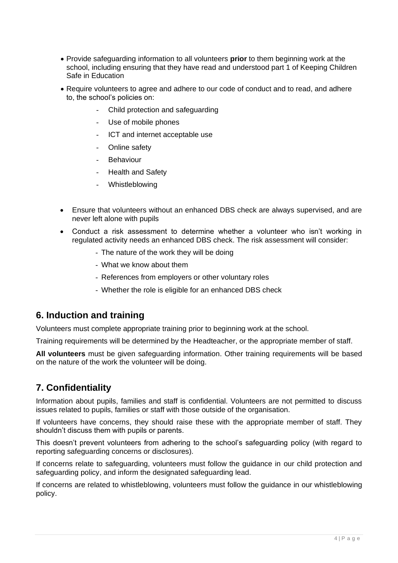- Provide safeguarding information to all volunteers **prior** to them beginning work at the school, including ensuring that they have read and understood part 1 of Keeping Children Safe in Education
- Require volunteers to agree and adhere to our code of conduct and to read, and adhere to, the school's policies on:
	- Child protection and safeguarding
	- Use of mobile phones
	- ICT and internet acceptable use
	- Online safety
	- **Behaviour**
	- Health and Safety
	- Whistleblowing
- Ensure that volunteers without an enhanced DBS check are always supervised, and are never left alone with pupils
- Conduct a risk assessment to determine whether a volunteer who isn't working in regulated activity needs an enhanced DBS check. The risk assessment will consider:
	- The nature of the work they will be doing
	- What we know about them
	- References from employers or other voluntary roles
	- Whether the role is eligible for an enhanced DBS check

### **6. Induction and training**

Volunteers must complete appropriate training prior to beginning work at the school.

Training requirements will be determined by the Headteacher, or the appropriate member of staff.

**All volunteers** must be given safeguarding information. Other training requirements will be based on the nature of the work the volunteer will be doing.

# **7. Confidentiality**

Information about pupils, families and staff is confidential. Volunteers are not permitted to discuss issues related to pupils, families or staff with those outside of the organisation.

If volunteers have concerns, they should raise these with the appropriate member of staff. They shouldn't discuss them with pupils or parents.

This doesn't prevent volunteers from adhering to the school's safeguarding policy (with regard to reporting safeguarding concerns or disclosures).

If concerns relate to safeguarding, volunteers must follow the guidance in our child protection and safeguarding policy, and inform the designated safeguarding lead.

If concerns are related to whistleblowing, volunteers must follow the guidance in our whistleblowing policy.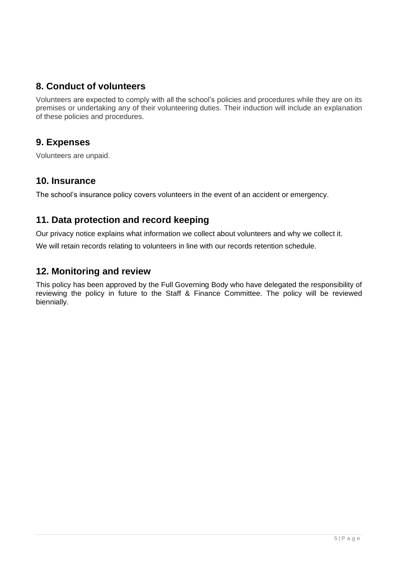# **8. Conduct of volunteers**

Volunteers are expected to comply with all the school's policies and procedures while they are on its premises or undertaking any of their volunteering duties. Their induction will include an explanation of these policies and procedures.

# **9. Expenses**

Volunteers are unpaid.

# **10. Insurance**

The school's insurance policy covers volunteers in the event of an accident or emergency.

# **11. Data protection and record keeping**

Our privacy notice explains what information we collect about volunteers and why we collect it.

We will retain records relating to volunteers in line with our records retention schedule.

# **12. Monitoring and review**

This policy has been approved by the Full Governing Body who have delegated the responsibility of reviewing the policy in future to the Staff & Finance Committee. The policy will be reviewed biennially.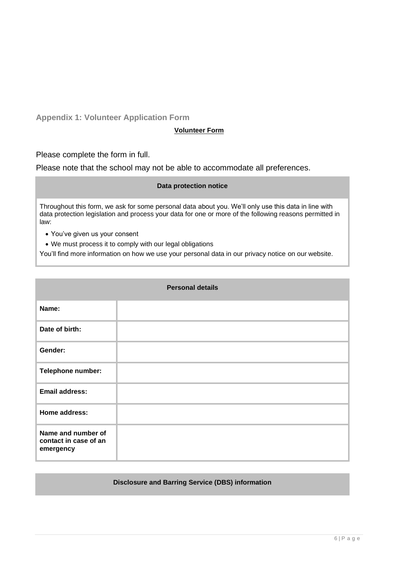**Appendix 1: Volunteer Application Form**

#### **Volunteer Form**

Please complete the form in full.

Please note that the school may not be able to accommodate all preferences.

#### **Data protection notice**

Throughout this form, we ask for some personal data about you. We'll only use this data in line with data protection legislation and process your data for one or more of the following reasons permitted in law:

- You've given us your consent
- We must process it to comply with our legal obligations

You'll find more information on how we use your personal data in our privacy notice on our website.

| <b>Personal details</b>                                  |  |
|----------------------------------------------------------|--|
| Name:                                                    |  |
| Date of birth:                                           |  |
| Gender:                                                  |  |
| Telephone number:                                        |  |
| <b>Email address:</b>                                    |  |
| Home address:                                            |  |
| Name and number of<br>contact in case of an<br>emergency |  |

#### **Disclosure and Barring Service (DBS) information**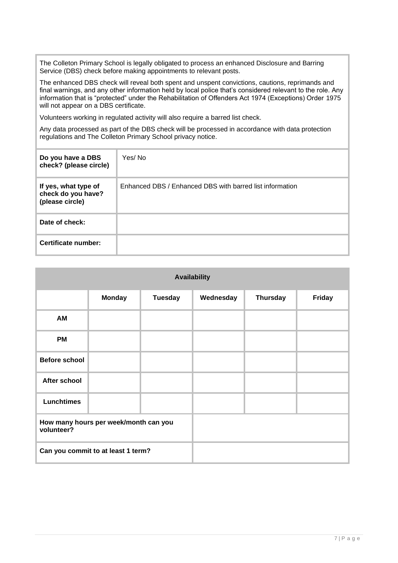The Colleton Primary School is legally obligated to process an enhanced Disclosure and Barring Service (DBS) check before making appointments to relevant posts.

The enhanced DBS check will reveal both spent and unspent convictions, cautions, reprimands and final warnings, and any other information held by local police that's considered relevant to the role. Any information that is "protected" under the Rehabilitation of Offenders Act 1974 (Exceptions) Order 1975 will not appear on a DBS certificate.

Volunteers working in regulated activity will also require a barred list check.

Any data processed as part of the DBS check will be processed in accordance with data protection regulations and The Colleton Primary School privacy notice.

| Do you have a DBS<br>check? (please circle)                   | Yes/No                                                   |
|---------------------------------------------------------------|----------------------------------------------------------|
| If yes, what type of<br>check do you have?<br>(please circle) | Enhanced DBS / Enhanced DBS with barred list information |
| Date of check:                                                |                                                          |
| Certificate number:                                           |                                                          |

| <b>Availability</b>                |                                       |                |           |                 |        |
|------------------------------------|---------------------------------------|----------------|-----------|-----------------|--------|
|                                    | <b>Monday</b>                         | <b>Tuesday</b> | Wednesday | <b>Thursday</b> | Friday |
| AM                                 |                                       |                |           |                 |        |
| <b>PM</b>                          |                                       |                |           |                 |        |
| <b>Before school</b>               |                                       |                |           |                 |        |
| After school                       |                                       |                |           |                 |        |
| <b>Lunchtimes</b>                  |                                       |                |           |                 |        |
| volunteer?                         | How many hours per week/month can you |                |           |                 |        |
| Can you commit to at least 1 term? |                                       |                |           |                 |        |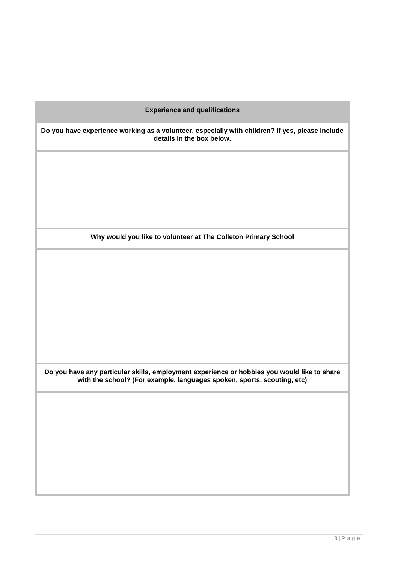| <b>Experience and qualifications</b>                                                                                                                                   |
|------------------------------------------------------------------------------------------------------------------------------------------------------------------------|
| Do you have experience working as a volunteer, especially with children? If yes, please include<br>details in the box below.                                           |
|                                                                                                                                                                        |
|                                                                                                                                                                        |
|                                                                                                                                                                        |
| Why would you like to volunteer at The Colleton Primary School                                                                                                         |
|                                                                                                                                                                        |
|                                                                                                                                                                        |
|                                                                                                                                                                        |
|                                                                                                                                                                        |
|                                                                                                                                                                        |
| Do you have any particular skills, employment experience or hobbies you would like to share<br>with the school? (For example, languages spoken, sports, scouting, etc) |
|                                                                                                                                                                        |
|                                                                                                                                                                        |
|                                                                                                                                                                        |
|                                                                                                                                                                        |
|                                                                                                                                                                        |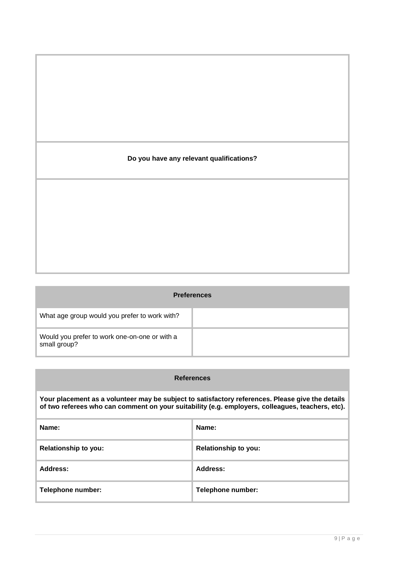# **Do you have any relevant qualifications?**

|                                                               | <b>Preferences</b> |
|---------------------------------------------------------------|--------------------|
| What age group would you prefer to work with?                 |                    |
| Would you prefer to work one-on-one or with a<br>small group? |                    |

| <b>References</b>                                                                                                                                                                                    |                             |
|------------------------------------------------------------------------------------------------------------------------------------------------------------------------------------------------------|-----------------------------|
| Your placement as a volunteer may be subject to satisfactory references. Please give the details<br>of two referees who can comment on your suitability (e.g. employers, colleagues, teachers, etc). |                             |
| Name:                                                                                                                                                                                                | Name:                       |
| <b>Relationship to you:</b>                                                                                                                                                                          | <b>Relationship to you:</b> |
| Address:                                                                                                                                                                                             | <b>Address:</b>             |
| Telephone number:                                                                                                                                                                                    | Telephone number:           |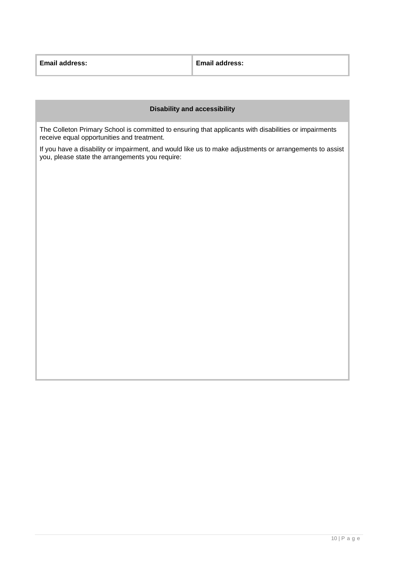| <b>Email address:</b> | <b>Email address:</b> |
|-----------------------|-----------------------|
|                       |                       |

#### **Disability and accessibility**

The Colleton Primary School is committed to ensuring that applicants with disabilities or impairments receive equal opportunities and treatment.

If you have a disability or impairment, and would like us to make adjustments or arrangements to assist you, please state the arrangements you require: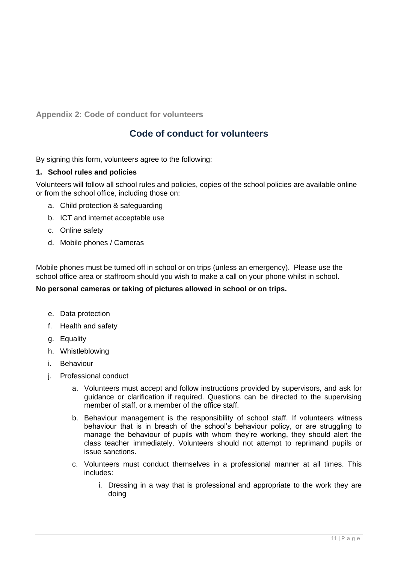**Appendix 2: Code of conduct for volunteers**

# **Code of conduct for volunteers**

By signing this form, volunteers agree to the following:

#### **1. School rules and policies**

Volunteers will follow all school rules and policies, copies of the school policies are available online or from the school office, including those on:

- a. Child protection & safeguarding
- b. ICT and internet acceptable use
- c. Online safety
- d. Mobile phones / Cameras

Mobile phones must be turned off in school or on trips (unless an emergency). Please use the school office area or staffroom should you wish to make a call on your phone whilst in school.

#### **No personal cameras or taking of pictures allowed in school or on trips.**

- e. Data protection
- f. Health and safety
- g. Equality
- h. Whistleblowing
- i. Behaviour
- j. Professional conduct
	- a. Volunteers must accept and follow instructions provided by supervisors, and ask for guidance or clarification if required. Questions can be directed to the supervising member of staff, or a member of the office staff.
	- b. Behaviour management is the responsibility of school staff. If volunteers witness behaviour that is in breach of the school's behaviour policy, or are struggling to manage the behaviour of pupils with whom they're working, they should alert the class teacher immediately. Volunteers should not attempt to reprimand pupils or issue sanctions.
	- c. Volunteers must conduct themselves in a professional manner at all times. This includes:
		- i. Dressing in a way that is professional and appropriate to the work they are doing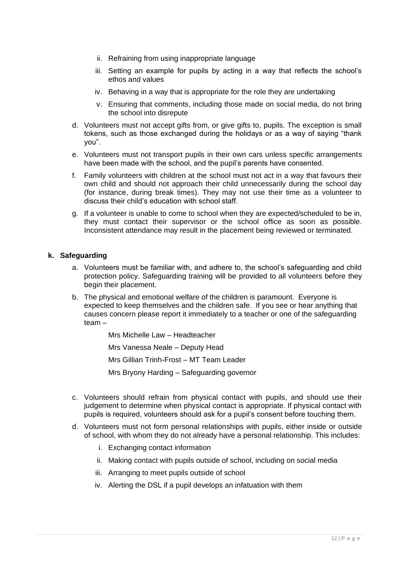- ii. Refraining from using inappropriate language
- iii. Setting an example for pupils by acting in a way that reflects the school's ethos and values
- iv. Behaving in a way that is appropriate for the role they are undertaking
- v. Ensuring that comments, including those made on social media, do not bring the school into disrepute
- d. Volunteers must not accept gifts from, or give gifts to, pupils. The exception is small tokens, such as those exchanged during the holidays or as a way of saying "thank you".
- e. Volunteers must not transport pupils in their own cars unless specific arrangements have been made with the school, and the pupil's parents have consented.
- f. Family volunteers with children at the school must not act in a way that favours their own child and should not approach their child unnecessarily during the school day (for instance, during break times). They may not use their time as a volunteer to discuss their child's education with school staff.
- g. If a volunteer is unable to come to school when they are expected/scheduled to be in, they must contact their supervisor or the school office as soon as possible. Inconsistent attendance may result in the placement being reviewed or terminated.

#### **k. Safeguarding**

- a. Volunteers must be familiar with, and adhere to, the school's safeguarding and child protection policy. Safeguarding training will be provided to all volunteers before they begin their placement.
- b. The physical and emotional welfare of the children is paramount. Everyone is expected to keep themselves and the children safe. If you see or hear anything that causes concern please report it immediately to a teacher or one of the safeguarding team –

Mrs Michelle Law – Headteacher

Mrs Vanessa Neale – Deputy Head

Mrs Gillian Trinh-Frost – MT Team Leader

Mrs Bryony Harding – Safeguarding governor

- c. Volunteers should refrain from physical contact with pupils, and should use their judgement to determine when physical contact is appropriate. If physical contact with pupils is required, volunteers should ask for a pupil's consent before touching them.
- d. Volunteers must not form personal relationships with pupils, either inside or outside of school, with whom they do not already have a personal relationship. This includes:
	- i. Exchanging contact information
	- ii. Making contact with pupils outside of school, including on social media
	- iii. Arranging to meet pupils outside of school
	- iv. Alerting the DSL if a pupil develops an infatuation with them